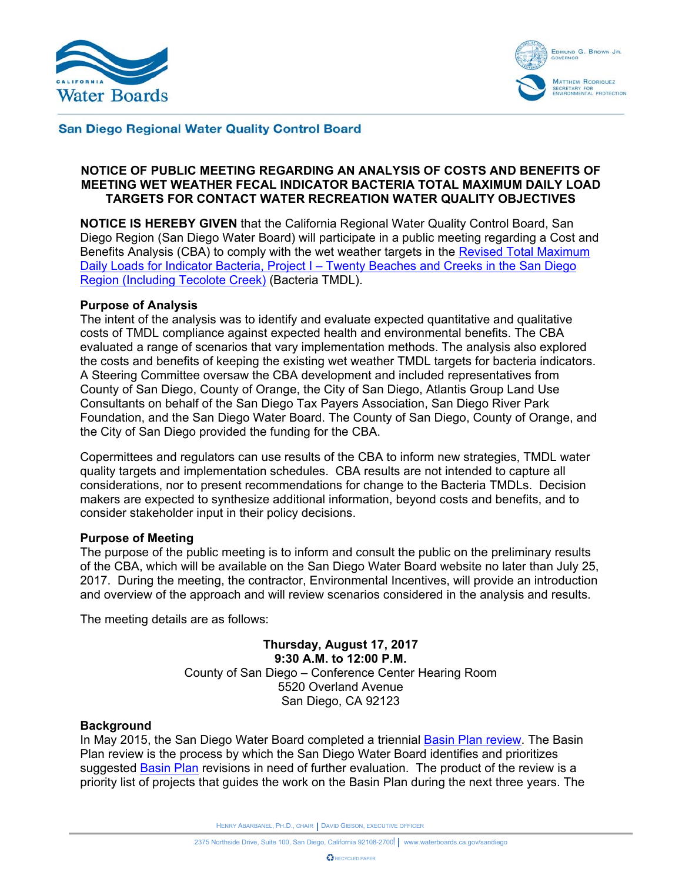



#### **San Diego Regional Water Quality Control Board**

#### **NOTICE OF PUBLIC MEETING REGARDING AN ANALYSIS OF COSTS AND BENEFITS OF MEETING WET WEATHER FECAL INDICATOR BACTERIA TOTAL MAXIMUM DAILY LOAD TARGETS FOR CONTACT WATER RECREATION WATER QUALITY OBJECTIVES**

**NOTICE IS HEREBY GIVEN** that the California Regional Water Quality Control Board, San Diego Region (San Diego Water Board) will participate in a public meeting regarding a Cost and Benefits Analysis (CBA) to comply with the wet weather targets in the Revised Total Maximum Daily Loads for Indicator Bacteria, Project I – Twenty Beaches and Creeks in the San Diego Region (Including Tecolote Creek) (Bacteria TMDL).

#### **Purpose of Analysis**

The intent of the analysis was to identify and evaluate expected quantitative and qualitative costs of TMDL compliance against expected health and environmental benefits. The CBA evaluated a range of scenarios that vary implementation methods. The analysis also explored the costs and benefits of keeping the existing wet weather TMDL targets for bacteria indicators. A Steering Committee oversaw the CBA development and included representatives from County of San Diego, County of Orange, the City of San Diego, Atlantis Group Land Use Consultants on behalf of the San Diego Tax Payers Association, San Diego River Park Foundation, and the San Diego Water Board. The County of San Diego, County of Orange, and the City of San Diego provided the funding for the CBA.

Copermittees and regulators can use results of the CBA to inform new strategies, TMDL water quality targets and implementation schedules. CBA results are not intended to capture all considerations, nor to present recommendations for change to the Bacteria TMDLs. Decision makers are expected to synthesize additional information, beyond costs and benefits, and to consider stakeholder input in their policy decisions.

#### **Purpose of Meeting**

The purpose of the public meeting is to inform and consult the public on the preliminary results of the CBA, which will be available on the San Diego Water Board website no later than July 25, 2017. During the meeting, the contractor, Environmental Incentives, will provide an introduction and overview of the approach and will review scenarios considered in the analysis and results.

The meeting details are as follows:

**Thursday, August 17, 2017 9:30 A.M. to 12:00 P.M.**  County of San Diego – Conference Center Hearing Room 5520 Overland Avenue San Diego, CA 92123

#### **Background**

In May 2015, the San Diego Water Board completed a triennial Basin Plan review. The Basin Plan review is the process by which the San Diego Water Board identifies and prioritizes suggested Basin Plan revisions in need of further evaluation. The product of the review is a priority list of projects that guides the work on the Basin Plan during the next three years. The